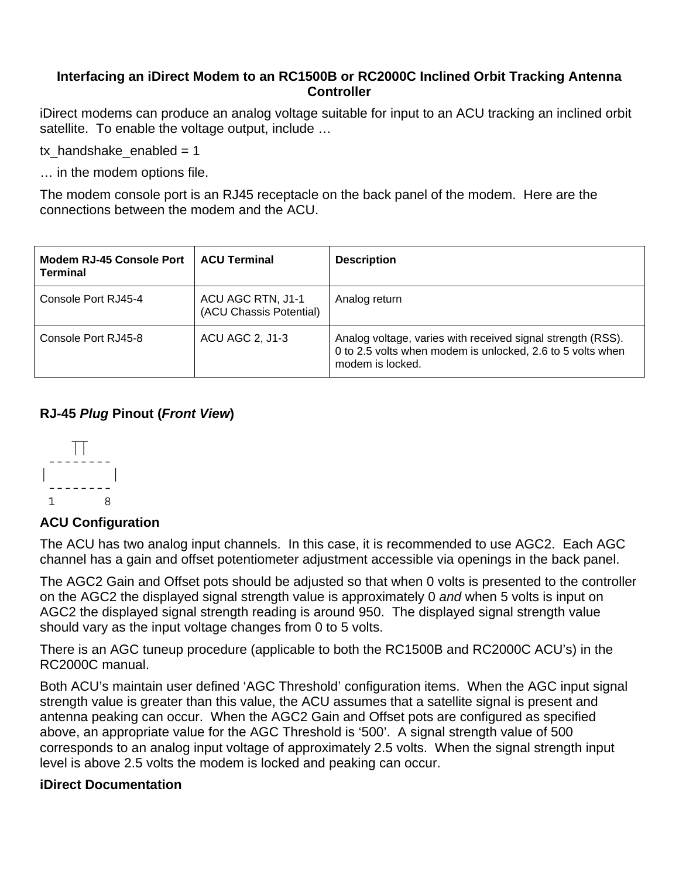## **Interfacing an iDirect Modem to an RC1500B or RC2000C Inclined Orbit Tracking Antenna Controller**

iDirect modems can produce an analog voltage suitable for input to an ACU tracking an inclined orbit satellite. To enable the voltage output, include …

tx handshake enabled  $= 1$ 

… in the modem options file.

The modem console port is an RJ45 receptacle on the back panel of the modem. Here are the connections between the modem and the ACU.

| <b>Modem RJ-45 Console Port</b><br><b>Terminal</b> | <b>ACU Terminal</b>                          | <b>Description</b>                                                                                                                            |
|----------------------------------------------------|----------------------------------------------|-----------------------------------------------------------------------------------------------------------------------------------------------|
| Console Port RJ45-4                                | ACU AGC RTN, J1-1<br>(ACU Chassis Potential) | Analog return                                                                                                                                 |
| Console Port RJ45-8                                | ACU AGC 2, J1-3                              | Analog voltage, varies with received signal strength (RSS).<br>0 to 2.5 volts when modem is unlocked, 2.6 to 5 volts when<br>modem is locked. |

## **RJ-45** *Plug* **Pinout (***Front View***)**



## **ACU Configuration**

The ACU has two analog input channels. In this case, it is recommended to use AGC2. Each AGC channel has a gain and offset potentiometer adjustment accessible via openings in the back panel.

The AGC2 Gain and Offset pots should be adjusted so that when 0 volts is presented to the controller on the AGC2 the displayed signal strength value is approximately 0 *and* when 5 volts is input on AGC2 the displayed signal strength reading is around 950. The displayed signal strength value should vary as the input voltage changes from 0 to 5 volts.

There is an AGC tuneup procedure (applicable to both the RC1500B and RC2000C ACU's) in the RC2000C manual.

Both ACU's maintain user defined 'AGC Threshold' configuration items. When the AGC input signal strength value is greater than this value, the ACU assumes that a satellite signal is present and antenna peaking can occur. When the AGC2 Gain and Offset pots are configured as specified above, an appropriate value for the AGC Threshold is '500'. A signal strength value of 500 corresponds to an analog input voltage of approximately 2.5 volts. When the signal strength input level is above 2.5 volts the modem is locked and peaking can occur.

## **iDirect Documentation**